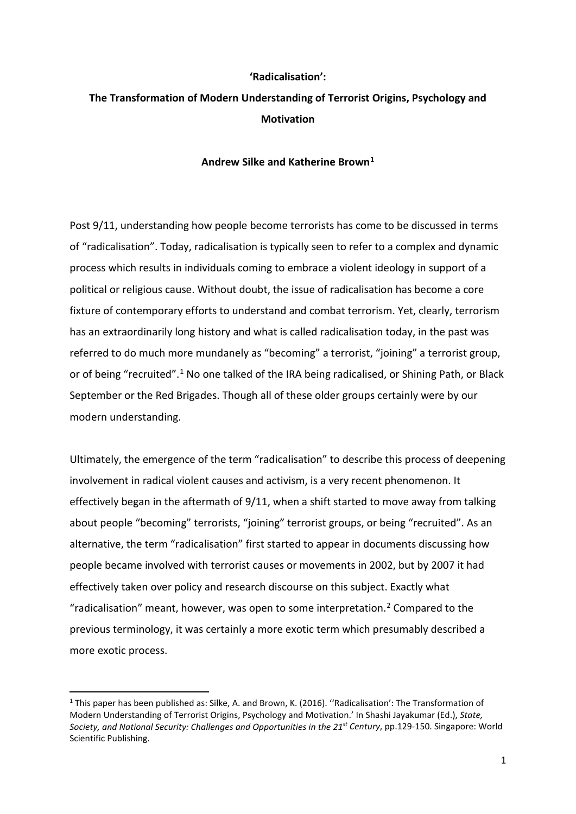# **'Radicalisation':**

# **The Transformation of Modern Understanding of Terrorist Origins, Psychology and Motivation**

## **Andrew Silke and Katherine Brown[1](#page-0-0)**

Post 9/11, understanding how people become terrorists has come to be discussed in terms of "radicalisation". Today, radicalisation is typically seen to refer to a complex and dynamic process which results in individuals coming to embrace a violent ideology in support of a political or religious cause. Without doubt, the issue of radicalisation has become a core fixture of contemporary efforts to understand and combat terrorism. Yet, clearly, terrorism has an extraordinarily long history and what is called radicalisation today, in the past was referred to do much more mundanely as "becoming" a terrorist, "joining" a terrorist group, or of being "recruited".[1](#page-18-0) No one talked of the IRA being radicalised, or Shining Path, or Black September or the Red Brigades. Though all of these older groups certainly were by our modern understanding.

Ultimately, the emergence of the term "radicalisation" to describe this process of deepening involvement in radical violent causes and activism, is a very recent phenomenon. It effectively began in the aftermath of 9/11, when a shift started to move away from talking about people "becoming" terrorists, "joining" terrorist groups, or being "recruited". As an alternative, the term "radicalisation" first started to appear in documents discussing how people became involved with terrorist causes or movements in 2002, but by 2007 it had effectively taken over policy and research discourse on this subject. Exactly what "radicalisation" meant, however, was open to some interpretation.<sup>[2](#page-18-1)</sup> Compared to the previous terminology, it was certainly a more exotic term which presumably described a more exotic process.

**.** 

<span id="page-0-0"></span><sup>1</sup> This paper has been published as: Silke, A. and Brown, K. (2016). ''Radicalisation': The Transformation of Modern Understanding of Terrorist Origins, Psychology and Motivation.' In Shashi Jayakumar (Ed.), *State, Society, and National Security: Challenges and Opportunities in the 21st Century*, pp.129-150. Singapore: World Scientific Publishing.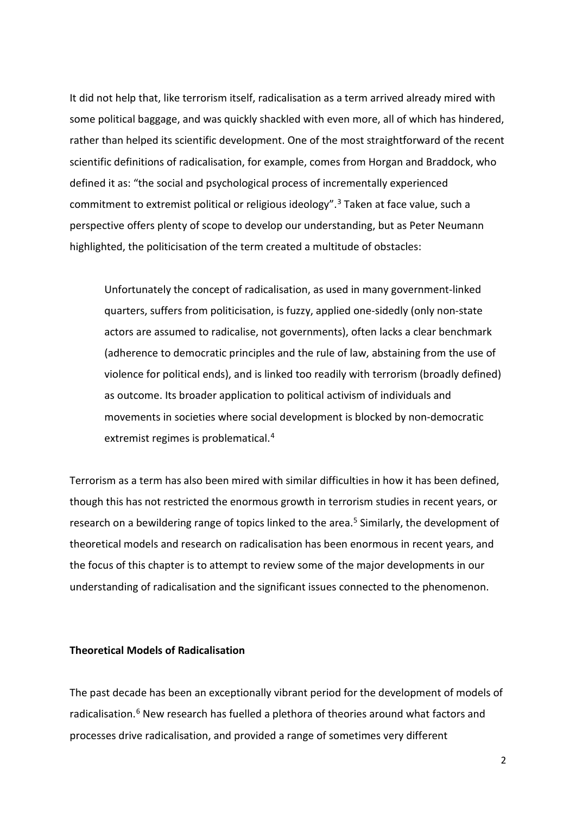It did not help that, like terrorism itself, radicalisation as a term arrived already mired with some political baggage, and was quickly shackled with even more, all of which has hindered, rather than helped its scientific development. One of the most straightforward of the recent scientific definitions of radicalisation, for example, comes from Horgan and Braddock, who defined it as: "the social and psychological process of incrementally experienced commitment to extremist political or religious ideology". [3](#page-19-0) Taken at face value, such a perspective offers plenty of scope to develop our understanding, but as Peter Neumann highlighted, the politicisation of the term created a multitude of obstacles:

Unfortunately the concept of radicalisation, as used in many government-linked quarters, suffers from politicisation, is fuzzy, applied one-sidedly (only non-state actors are assumed to radicalise, not governments), often lacks a clear benchmark (adherence to democratic principles and the rule of law, abstaining from the use of violence for political ends), and is linked too readily with terrorism (broadly defined) as outcome. Its broader application to political activism of individuals and movements in societies where social development is blocked by non-democratic extremist regimes is problematical.<sup>4</sup>

Terrorism as a term has also been mired with similar difficulties in how it has been defined, though this has not restricted the enormous growth in terrorism studies in recent years, or research on a bewildering range of topics linked to the area.<sup>[5](#page-19-2)</sup> Similarly, the development of theoretical models and research on radicalisation has been enormous in recent years, and the focus of this chapter is to attempt to review some of the major developments in our understanding of radicalisation and the significant issues connected to the phenomenon.

## **Theoretical Models of Radicalisation**

The past decade has been an exceptionally vibrant period for the development of models of radicalisation.<sup>[6](#page-19-3)</sup> New research has fuelled a plethora of theories around what factors and processes drive radicalisation, and provided a range of sometimes very different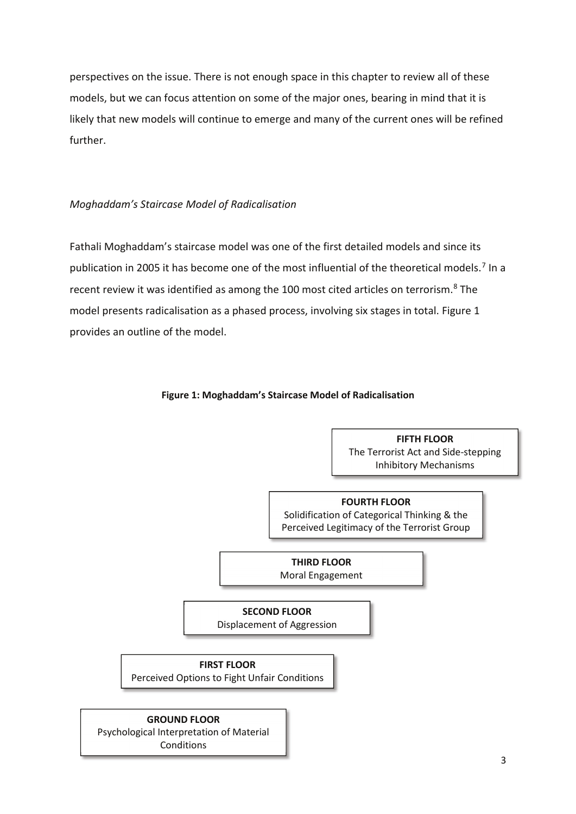perspectives on the issue. There is not enough space in this chapter to review all of these models, but we can focus attention on some of the major ones, bearing in mind that it is likely that new models will continue to emerge and many of the current ones will be refined further.

# *Moghaddam's Staircase Model of Radicalisation*

Fathali Moghaddam's staircase model was one of the first detailed models and since its publication in 2005 it has become one of the most influential of the theoretical models.<sup>[7](#page-20-0)</sup> In a recent review it was identified as among the 100 most cited articles on terrorism.<sup>8</sup> The model presents radicalisation as a phased process, involving six stages in total. Figure 1 provides an outline of the model.

## **Figure 1: Moghaddam's Staircase Model of Radicalisation**

**FIFTH FLOOR**  The Terrorist Act and Side-stepping Inhibitory Mechanisms

## **FOURTH FLOOR**

Solidification of Categorical Thinking & the Perceived Legitimacy of the Terrorist Group

**THIRD FLOOR**  Moral Engagement

# **SECOND FLOOR**

Displacement of Aggression

# **FIRST FLOOR**

Perceived Options to Fight Unfair Conditions

#### **GROUND FLOOR**

Psychological Interpretation of Material Conditions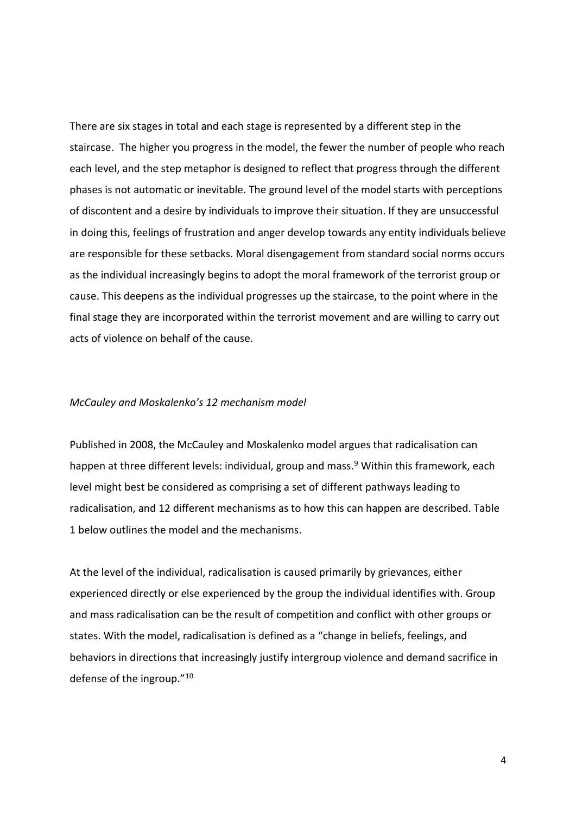There are six stages in total and each stage is represented by a different step in the staircase. The higher you progress in the model, the fewer the number of people who reach each level, and the step metaphor is designed to reflect that progress through the different phases is not automatic or inevitable. The ground level of the model starts with perceptions of discontent and a desire by individuals to improve their situation. If they are unsuccessful in doing this, feelings of frustration and anger develop towards any entity individuals believe are responsible for these setbacks. Moral disengagement from standard social norms occurs as the individual increasingly begins to adopt the moral framework of the terrorist group or cause. This deepens as the individual progresses up the staircase, to the point where in the final stage they are incorporated within the terrorist movement and are willing to carry out acts of violence on behalf of the cause.

#### *McCauley and Moskalenko's 12 mechanism model*

Published in 2008, the McCauley and Moskalenko model argues that radicalisation can happen at three different levels: individual, group and mass.<sup>[9](#page-20-2)</sup> Within this framework, each level might best be considered as comprising a set of different pathways leading to radicalisation, and 12 different mechanisms as to how this can happen are described. Table 1 below outlines the model and the mechanisms.

At the level of the individual, radicalisation is caused primarily by grievances, either experienced directly or else experienced by the group the individual identifies with. Group and mass radicalisation can be the result of competition and conflict with other groups or states. With the model, radicalisation is defined as a "change in beliefs, feelings, and behaviors in directions that increasingly justify intergroup violence and demand sacrifice in defense of the ingroup."[10](#page-20-3)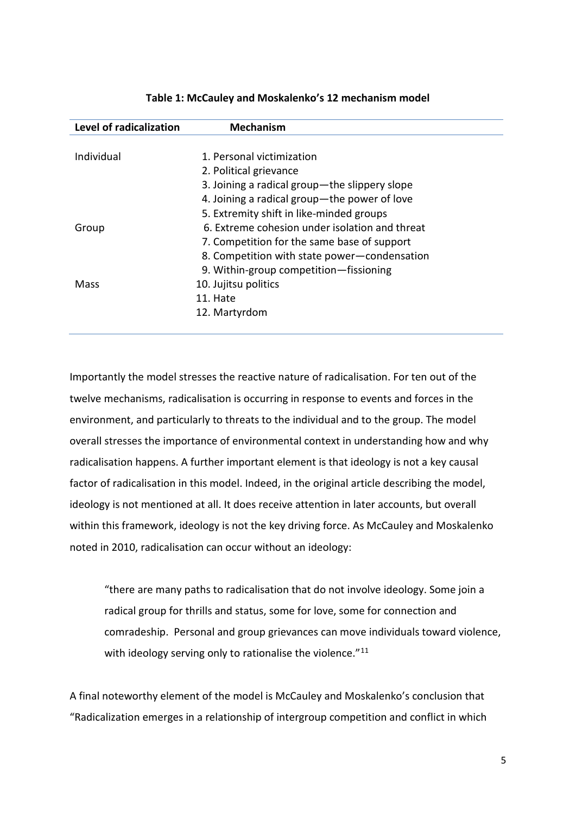| Level of radicalization | <b>Mechanism</b>                               |
|-------------------------|------------------------------------------------|
|                         |                                                |
| Individual              | 1. Personal victimization                      |
|                         | 2. Political grievance                         |
|                         | 3. Joining a radical group—the slippery slope  |
|                         | 4. Joining a radical group—the power of love   |
|                         | 5. Extremity shift in like-minded groups       |
| Group                   | 6. Extreme cohesion under isolation and threat |
|                         | 7. Competition for the same base of support    |
|                         | 8. Competition with state power-condensation   |
|                         | 9. Within-group competition-fissioning         |
| Mass                    | 10. Jujitsu politics                           |
|                         | 11. Hate                                       |
|                         | 12. Martyrdom                                  |
|                         |                                                |

## **Table 1: McCauley and Moskalenko's 12 mechanism model**

Importantly the model stresses the reactive nature of radicalisation. For ten out of the twelve mechanisms, radicalisation is occurring in response to events and forces in the environment, and particularly to threats to the individual and to the group. The model overall stresses the importance of environmental context in understanding how and why radicalisation happens. A further important element is that ideology is not a key causal factor of radicalisation in this model. Indeed, in the original article describing the model, ideology is not mentioned at all. It does receive attention in later accounts, but overall within this framework, ideology is not the key driving force. As McCauley and Moskalenko noted in 2010, radicalisation can occur without an ideology:

"there are many paths to radicalisation that do not involve ideology. Some join a radical group for thrills and status, some for love, some for connection and comradeship. Personal and group grievances can move individuals toward violence, with ideology serving only to rationalise the violence."<sup>[11](#page-20-4)</sup>

A final noteworthy element of the model is McCauley and Moskalenko's conclusion that "Radicalization emerges in a relationship of intergroup competition and conflict in which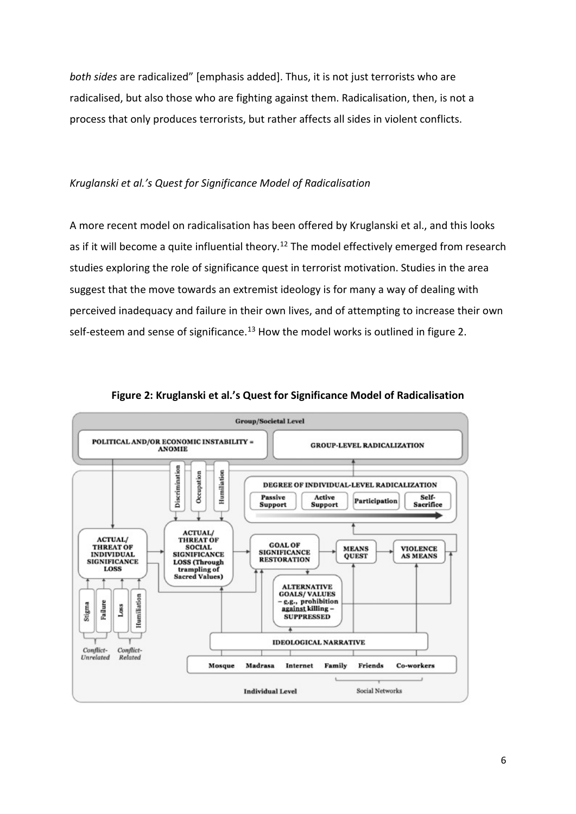*both sides* are radicalized" [emphasis added]. Thus, it is not just terrorists who are radicalised, but also those who are fighting against them. Radicalisation, then, is not a process that only produces terrorists, but rather affects all sides in violent conflicts.

## *Kruglanski et al.'s Quest for Significance Model of Radicalisation*

A more recent model on radicalisation has been offered by Kruglanski et al., and this looks as if it will become a quite influential theory.<sup>[12](#page-20-5)</sup> The model effectively emerged from research studies exploring the role of significance quest in terrorist motivation. Studies in the area suggest that the move towards an extremist ideology is for many a way of dealing with perceived inadequacy and failure in their own lives, and of attempting to increase their own self-esteem and sense of significance.<sup>[13](#page-20-6)</sup> How the model works is outlined in figure 2.



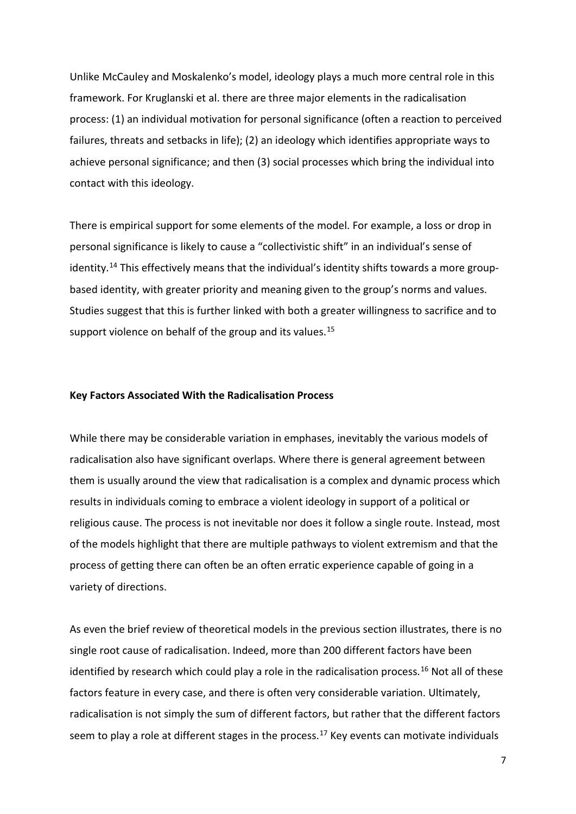Unlike McCauley and Moskalenko's model, ideology plays a much more central role in this framework. For Kruglanski et al. there are three major elements in the radicalisation process: (1) an individual motivation for personal significance (often a reaction to perceived failures, threats and setbacks in life); (2) an ideology which identifies appropriate ways to achieve personal significance; and then (3) social processes which bring the individual into contact with this ideology.

There is empirical support for some elements of the model. For example, a loss or drop in personal significance is likely to cause a "collectivistic shift" in an individual's sense of identity.<sup>[14](#page-20-7)</sup> This effectively means that the individual's identity shifts towards a more groupbased identity, with greater priority and meaning given to the group's norms and values. Studies suggest that this is further linked with both a greater willingness to sacrifice and to support violence on behalf of the group and its values.<sup>[15](#page-20-8)</sup>

## **Key Factors Associated With the Radicalisation Process**

While there may be considerable variation in emphases, inevitably the various models of radicalisation also have significant overlaps. Where there is general agreement between them is usually around the view that radicalisation is a complex and dynamic process which results in individuals coming to embrace a violent ideology in support of a political or religious cause. The process is not inevitable nor does it follow a single route. Instead, most of the models highlight that there are multiple pathways to violent extremism and that the process of getting there can often be an often erratic experience capable of going in a variety of directions.

As even the brief review of theoretical models in the previous section illustrates, there is no single root cause of radicalisation. Indeed, more than 200 different factors have been identified by research which could play a role in the radicalisation process.<sup>[16](#page-20-9)</sup> Not all of these factors feature in every case, and there is often very considerable variation. Ultimately, radicalisation is not simply the sum of different factors, but rather that the different factors seem to play a role at different stages in the process.<sup>17</sup> Key events can motivate individuals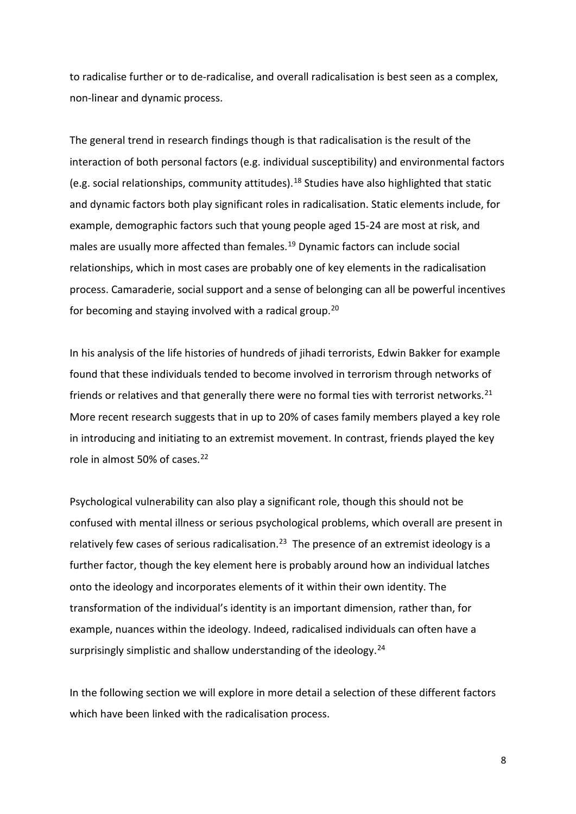to radicalise further or to de-radicalise, and overall radicalisation is best seen as a complex, non-linear and dynamic process.

The general trend in research findings though is that radicalisation is the result of the interaction of both personal factors (e.g. individual susceptibility) and environmental factors (e.g. social relationships, community attitudes).[18](#page-20-11) Studies have also highlighted that static and dynamic factors both play significant roles in radicalisation. Static elements include, for example, demographic factors such that young people aged 15-24 are most at risk, and males are usually more affected than females.<sup>[19](#page-20-12)</sup> Dynamic factors can include social relationships, which in most cases are probably one of key elements in the radicalisation process. Camaraderie, social support and a sense of belonging can all be powerful incentives for becoming and staying involved with a radical group[.20](#page-20-13) 

In his analysis of the life histories of hundreds of jihadi terrorists, Edwin Bakker for example found that these individuals tended to become involved in terrorism through networks of friends or relatives and that generally there were no formal ties with terrorist networks.<sup>[21](#page-20-14)</sup> More recent research suggests that in up to 20% of cases family members played a key role in introducing and initiating to an extremist movement. In contrast, friends played the key role in almost 50% of cases.<sup>[22](#page-20-15)</sup>

Psychological vulnerability can also play a significant role, though this should not be confused with mental illness or serious psychological problems, which overall are present in relatively few cases of serious radicalisation.<sup>23</sup> The presence of an extremist ideology is a further factor, though the key element here is probably around how an individual latches onto the ideology and incorporates elements of it within their own identity. The transformation of the individual's identity is an important dimension, rather than, for example, nuances within the ideology. Indeed, radicalised individuals can often have a surprisingly simplistic and shallow understanding of the ideology.<sup>[24](#page-20-17)</sup>

In the following section we will explore in more detail a selection of these different factors which have been linked with the radicalisation process.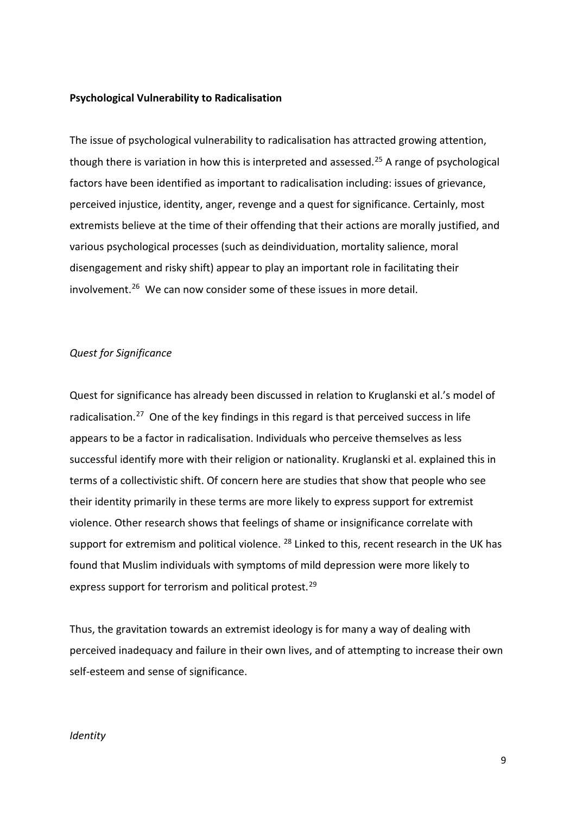## **Psychological Vulnerability to Radicalisation**

The issue of psychological vulnerability to radicalisation has attracted growing attention, though there is variation in how this is interpreted and assessed.<sup>25</sup> A range of psychological factors have been identified as important to radicalisation including: issues of grievance, perceived injustice, identity, anger, revenge and a quest for significance. Certainly, most extremists believe at the time of their offending that their actions are morally justified, and various psychological processes (such as deindividuation, mortality salience, moral disengagement and risky shift) appear to play an important role in facilitating their involvement. [26](#page-20-19) We can now consider some of these issues in more detail.

#### *Quest for Significance*

Quest for significance has already been discussed in relation to Kruglanski et al.'s model of radicalisation.<sup>27</sup> One of the key findings in this regard is that perceived success in life appears to be a factor in radicalisation. Individuals who perceive themselves as less successful identify more with their religion or nationality. Kruglanski et al. explained this in terms of a collectivistic shift. Of concern here are studies that show that people who see their identity primarily in these terms are more likely to express support for extremist violence. Other research shows that feelings of shame or insignificance correlate with support for extremism and political violence.  $^{28}$  $^{28}$  $^{28}$  Linked to this, recent research in the UK has found that Muslim individuals with symptoms of mild depression were more likely to express support for terrorism and political protest.<sup>29</sup>

Thus, the gravitation towards an extremist ideology is for many a way of dealing with perceived inadequacy and failure in their own lives, and of attempting to increase their own self-esteem and sense of significance.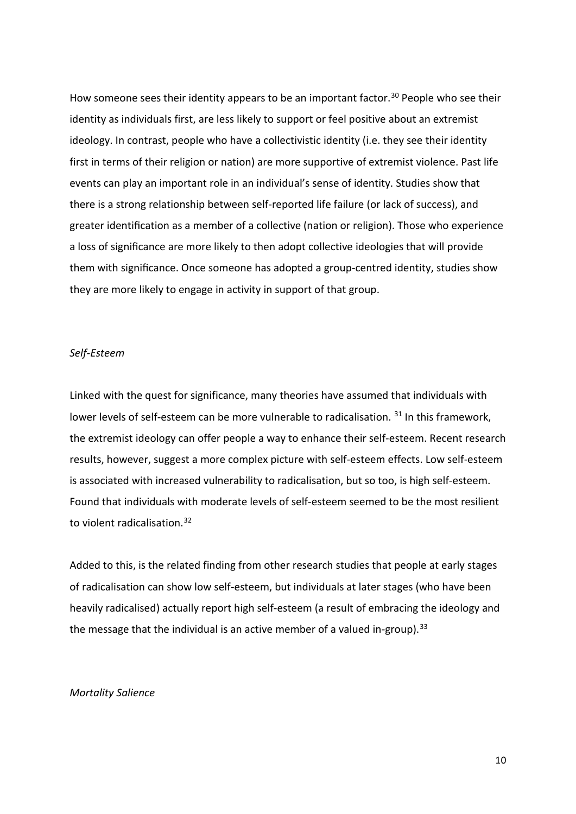How someone sees their identity appears to be an important factor.<sup>[30](#page-20-23)</sup> People who see their identity as individuals first, are less likely to support or feel positive about an extremist ideology. In contrast, people who have a collectivistic identity (i.e. they see their identity first in terms of their religion or nation) are more supportive of extremist violence. Past life events can play an important role in an individual's sense of identity. Studies show that there is a strong relationship between self-reported life failure (or lack of success), and greater identification as a member of a collective (nation or religion). Those who experience a loss of significance are more likely to then adopt collective ideologies that will provide them with significance. Once someone has adopted a group-centred identity, studies show they are more likely to engage in activity in support of that group.

#### *Self-Esteem*

Linked with the quest for significance, many theories have assumed that individuals with lower levels of self-esteem can be more vulnerable to radicalisation. <sup>[31](#page-20-24)</sup> In this framework, the extremist ideology can offer people a way to enhance their self-esteem. Recent research results, however, suggest a more complex picture with self-esteem effects. Low self-esteem is associated with increased vulnerability to radicalisation, but so too, is high self-esteem. Found that individuals with moderate levels of self-esteem seemed to be the most resilient to violent radicalisation.<sup>[32](#page-20-25)</sup>

Added to this, is the related finding from other research studies that people at early stages of radicalisation can show low self-esteem, but individuals at later stages (who have been heavily radicalised) actually report high self-esteem (a result of embracing the ideology and the message that the individual is an active member of a valued in-group).<sup>[33](#page-20-26)</sup>

# *Mortality Salience*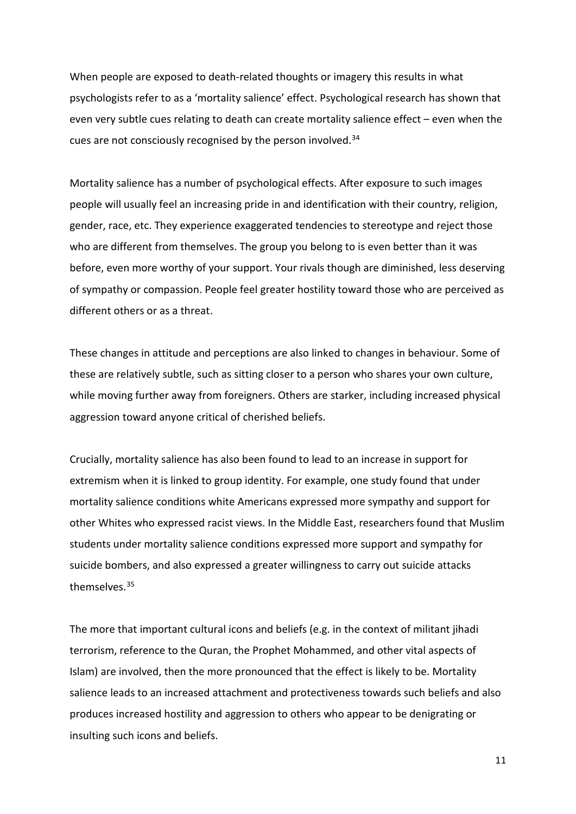When people are exposed to death-related thoughts or imagery this results in what psychologists refer to as a 'mortality salience' effect. Psychological research has shown that even very subtle cues relating to death can create mortality salience effect – even when the cues are not consciously recognised by the person involved.[34](#page-20-27)

Mortality salience has a number of psychological effects. After exposure to such images people will usually feel an increasing pride in and identification with their country, religion, gender, race, etc. They experience exaggerated tendencies to stereotype and reject those who are different from themselves. The group you belong to is even better than it was before, even more worthy of your support. Your rivals though are diminished, less deserving of sympathy or compassion. People feel greater hostility toward those who are perceived as different others or as a threat.

These changes in attitude and perceptions are also linked to changes in behaviour. Some of these are relatively subtle, such as sitting closer to a person who shares your own culture, while moving further away from foreigners. Others are starker, including increased physical aggression toward anyone critical of cherished beliefs.

Crucially, mortality salience has also been found to lead to an increase in support for extremism when it is linked to group identity. For example, one study found that under mortality salience conditions white Americans expressed more sympathy and support for other Whites who expressed racist views. In the Middle East, researchers found that Muslim students under mortality salience conditions expressed more support and sympathy for suicide bombers, and also expressed a greater willingness to carry out suicide attacks themselves.[35](#page-20-28)

The more that important cultural icons and beliefs (e.g. in the context of militant jihadi terrorism, reference to the Quran, the Prophet Mohammed, and other vital aspects of Islam) are involved, then the more pronounced that the effect is likely to be. Mortality salience leads to an increased attachment and protectiveness towards such beliefs and also produces increased hostility and aggression to others who appear to be denigrating or insulting such icons and beliefs.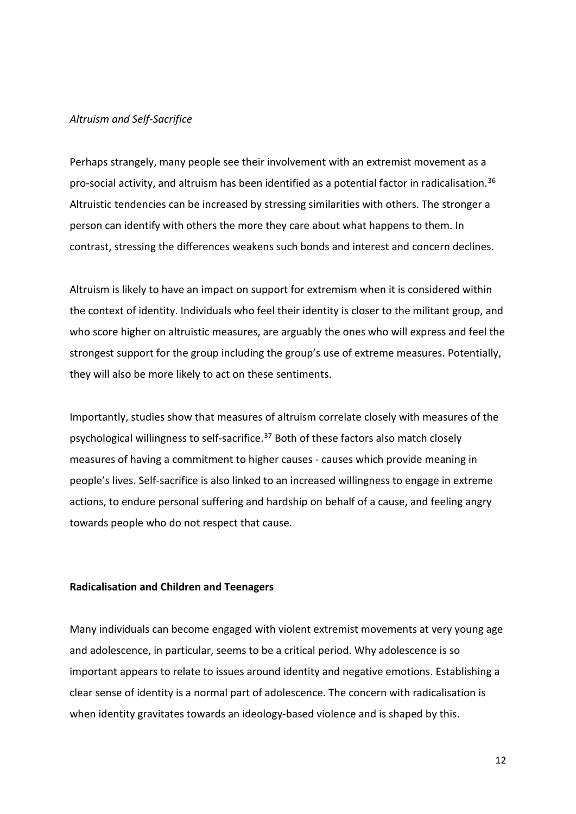#### *Altruism and Self-Sacrifice*

Perhaps strangely, many people see their involvement with an extremist movement as a pro-social activity, and altruism has been identified as a potential factor in radicalisation. [36](#page-20-29) Altruistic tendencies can be increased by stressing similarities with others. The stronger a person can identify with others the more they care about what happens to them. In contrast, stressing the differences weakens such bonds and interest and concern declines.

Altruism is likely to have an impact on support for extremism when it is considered within the context of identity. Individuals who feel their identity is closer to the militant group, and who score higher on altruistic measures, are arguably the ones who will express and feel the strongest support for the group including the group's use of extreme measures. Potentially, they will also be more likely to act on these sentiments.

Importantly, studies show that measures of altruism correlate closely with measures of the psychological willingness to self-sacrifice.<sup>[37](#page-20-30)</sup> Both of these factors also match closely measures of having a commitment to higher causes - causes which provide meaning in people's lives. Self-sacrifice is also linked to an increased willingness to engage in extreme actions, to endure personal suffering and hardship on behalf of a cause, and feeling angry towards people who do not respect that cause.

## **Radicalisation and Children and Teenagers**

Many individuals can become engaged with violent extremist movements at very young age and adolescence, in particular, seems to be a critical period. Why adolescence is so important appears to relate to issues around identity and negative emotions. Establishing a clear sense of identity is a normal part of adolescence. The concern with radicalisation is when identity gravitates towards an ideology-based violence and is shaped by this.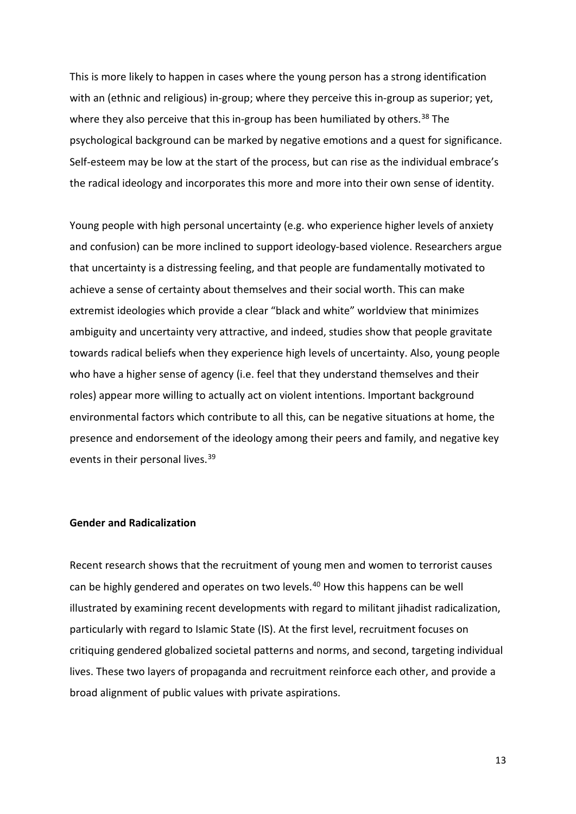This is more likely to happen in cases where the young person has a strong identification with an (ethnic and religious) in-group; where they perceive this in-group as superior; yet, where they also perceive that this in-group has been humiliated by others.<sup>[38](#page-20-12)</sup> The psychological background can be marked by negative emotions and a quest for significance. Self-esteem may be low at the start of the process, but can rise as the individual embrace's the radical ideology and incorporates this more and more into their own sense of identity.

Young people with high personal uncertainty (e.g. who experience higher levels of anxiety and confusion) can be more inclined to support ideology-based violence. Researchers argue that uncertainty is a distressing feeling, and that people are fundamentally motivated to achieve a sense of certainty about themselves and their social worth. This can make extremist ideologies which provide a clear "black and white" worldview that minimizes ambiguity and uncertainty very attractive, and indeed, studies show that people gravitate towards radical beliefs when they experience high levels of uncertainty. Also, young people who have a higher sense of agency (i.e. feel that they understand themselves and their roles) appear more willing to actually act on violent intentions. Important background environmental factors which contribute to all this, can be negative situations at home, the presence and endorsement of the ideology among their peers and family, and negative key events in their personal lives.<sup>[39](#page-20-13)</sup>

## **Gender and Radicalization**

Recent research shows that the recruitment of young men and women to terrorist causes can be highly gendered and operates on two levels.<sup>[40](#page-20-31)</sup> How this happens can be well illustrated by examining recent developments with regard to militant jihadist radicalization, particularly with regard to Islamic State (IS). At the first level, recruitment focuses on critiquing gendered globalized societal patterns and norms, and second, targeting individual lives. These two layers of propaganda and recruitment reinforce each other, and provide a broad alignment of public values with private aspirations.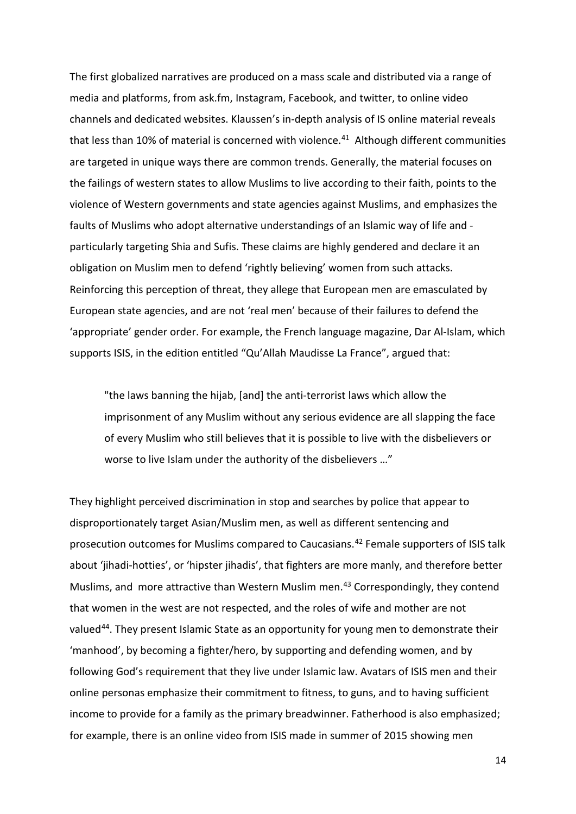The first globalized narratives are produced on a mass scale and distributed via a range of media and platforms, from ask.fm, Instagram, Facebook, and twitter, to online video channels and dedicated websites. Klaussen's in-depth analysis of IS online material reveals that less than 10% of material is concerned with violence.[41](#page-20-32)Although different communities are targeted in unique ways there are common trends. Generally, the material focuses on the failings of western states to allow Muslims to live according to their faith, points to the violence of Western governments and state agencies against Muslims, and emphasizes the faults of Muslims who adopt alternative understandings of an Islamic way of life and particularly targeting Shia and Sufis. These claims are highly gendered and declare it an obligation on Muslim men to defend 'rightly believing' women from such attacks. Reinforcing this perception of threat, they allege that European men are emasculated by European state agencies, and are not 'real men' because of their failures to defend the 'appropriate' gender order. For example, the French language magazine, Dar Al-Islam, which supports ISIS, in the edition entitled "Qu'Allah Maudisse La France", argued that:

"the laws banning the hijab, [and] the anti-terrorist laws which allow the imprisonment of any Muslim without any serious evidence are all slapping the face of every Muslim who still believes that it is possible to live with the disbelievers or worse to live Islam under the authority of the disbelievers …"

They highlight perceived discrimination in stop and searches by police that appear to disproportionately target Asian/Muslim men, as well as different sentencing and prosecution outcomes for Muslims compared to Caucasians.<sup>[42](#page-20-33)</sup> Female supporters of ISIS talk about 'jihadi-hotties', or 'hipster jihadis', that fighters are more manly, and therefore better Muslims, and more attractive than Western Muslim men.<sup>[43](#page-20-34)</sup> Correspondingly, they contend that women in the west are not respected, and the roles of wife and mother are not valued<sup>[44](#page-20-18)</sup>. They present Islamic State as an opportunity for young men to demonstrate their 'manhood', by becoming a fighter/hero, by supporting and defending women, and by following God's requirement that they live under Islamic law. Avatars of ISIS men and their online personas emphasize their commitment to fitness, to guns, and to having sufficient income to provide for a family as the primary breadwinner. Fatherhood is also emphasized; for example, there is an online video from ISIS made in summer of 2015 showing men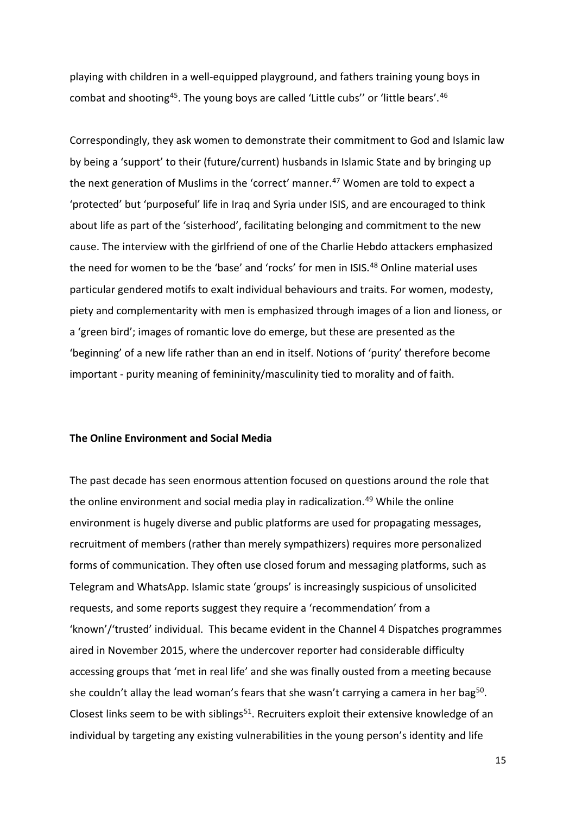playing with children in a well-equipped playground, and fathers training young boys in combat and shooting<sup>45</sup>. The young boys are called 'Little cubs'' or 'little bears'.<sup>46</sup>

Correspondingly, they ask women to demonstrate their commitment to God and Islamic law by being a 'support' to their (future/current) husbands in Islamic State and by bringing up the next generation of Muslims in the 'correct' manner.<sup>[47](#page-20-36)</sup> Women are told to expect a 'protected' but 'purposeful' life in Iraq and Syria under ISIS, and are encouraged to think about life as part of the 'sisterhood', facilitating belonging and commitment to the new cause. The interview with the girlfriend of one of the Charlie Hebdo attackers emphasized the need for women to be the 'base' and 'rocks' for men in ISIS.<sup>[48](#page-20-37)</sup> Online material uses particular gendered motifs to exalt individual behaviours and traits. For women, modesty, piety and complementarity with men is emphasized through images of a lion and lioness, or a 'green bird'; images of romantic love do emerge, but these are presented as the 'beginning' of a new life rather than an end in itself. Notions of 'purity' therefore become important - purity meaning of femininity/masculinity tied to morality and of faith.

## **The Online Environment and Social Media**

The past decade has seen enormous attention focused on questions around the role that the online environment and social media play in radicalization.<sup>[49](#page-20-20)</sup> While the online environment is hugely diverse and public platforms are used for propagating messages, recruitment of members (rather than merely sympathizers) requires more personalized forms of communication. They often use closed forum and messaging platforms, such as Telegram and WhatsApp. Islamic state 'groups' is increasingly suspicious of unsolicited requests, and some reports suggest they require a 'recommendation' from a 'known'/'trusted' individual. This became evident in the Channel 4 Dispatches programmes aired in November 2015, where the undercover reporter had considerable difficulty accessing groups that 'met in real life' and she was finally ousted from a meeting because she couldn't allay the lead woman's fears that she wasn't carrying a camera in her bag<sup>[50](#page-20-38)</sup>. Closest links seem to be with siblings<sup>[51](#page-20-39)</sup>. Recruiters exploit their extensive knowledge of an individual by targeting any existing vulnerabilities in the young person's identity and life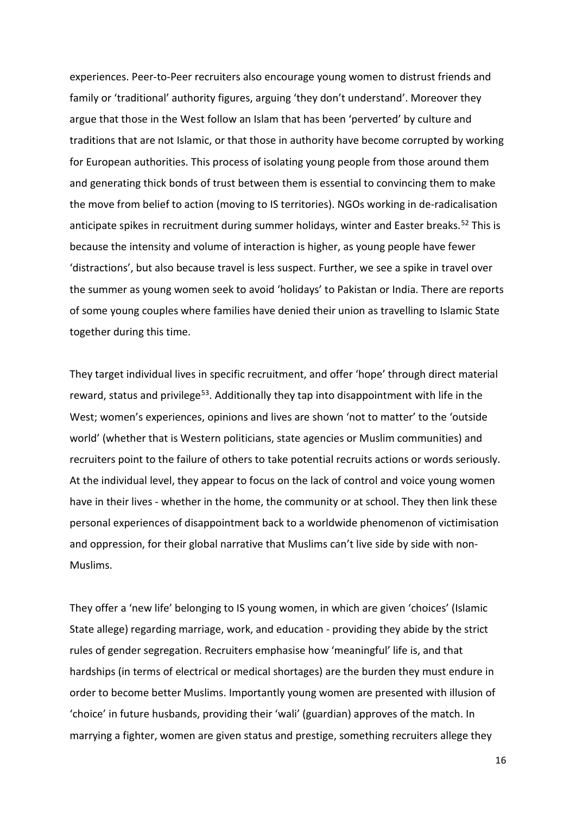experiences. Peer-to-Peer recruiters also encourage young women to distrust friends and family or 'traditional' authority figures, arguing 'they don't understand'. Moreover they argue that those in the West follow an Islam that has been 'perverted' by culture and traditions that are not Islamic, or that those in authority have become corrupted by working for European authorities. This process of isolating young people from those around them and generating thick bonds of trust between them is essential to convincing them to make the move from belief to action (moving to IS territories). NGOs working in de-radicalisation anticipate spikes in recruitment during summer holidays, winter and Easter breaks.<sup>[52](#page-20-23)</sup> This is because the intensity and volume of interaction is higher, as young people have fewer 'distractions', but also because travel is less suspect. Further, we see a spike in travel over the summer as young women seek to avoid 'holidays' to Pakistan or India. There are reports of some young couples where families have denied their union as travelling to Islamic State together during this time.

They target individual lives in specific recruitment, and offer 'hope' through direct material reward, status and privilege<sup>[53](#page-20-40)</sup>. Additionally they tap into disappointment with life in the West; women's experiences, opinions and lives are shown 'not to matter' to the 'outside world' (whether that is Western politicians, state agencies or Muslim communities) and recruiters point to the failure of others to take potential recruits actions or words seriously. At the individual level, they appear to focus on the lack of control and voice young women have in their lives - whether in the home, the community or at school. They then link these personal experiences of disappointment back to a worldwide phenomenon of victimisation and oppression, for their global narrative that Muslims can't live side by side with non-Muslims.

They offer a 'new life' belonging to IS young women, in which are given 'choices' (Islamic State allege) regarding marriage, work, and education - providing they abide by the strict rules of gender segregation. Recruiters emphasise how 'meaningful' life is, and that hardships (in terms of electrical or medical shortages) are the burden they must endure in order to become better Muslims. Importantly young women are presented with illusion of 'choice' in future husbands, providing their 'wali' (guardian) approves of the match. In marrying a fighter, women are given status and prestige, something recruiters allege they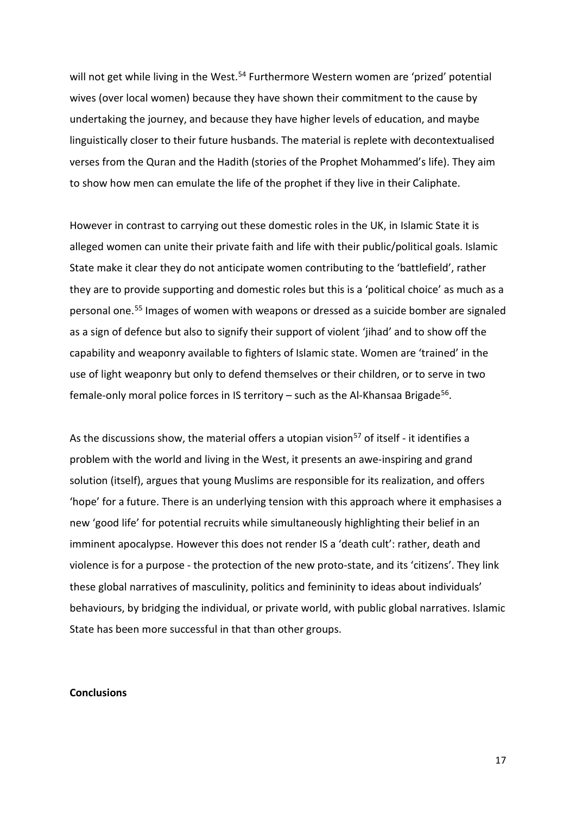will not get while living in the West.<sup>54</sup> Furthermore Western women are 'prized' potential wives (over local women) because they have shown their commitment to the cause by undertaking the journey, and because they have higher levels of education, and maybe linguistically closer to their future husbands. The material is replete with decontextualised verses from the Quran and the Hadith (stories of the Prophet Mohammed's life). They aim to show how men can emulate the life of the prophet if they live in their Caliphate.

However in contrast to carrying out these domestic roles in the UK, in Islamic State it is alleged women can unite their private faith and life with their public/political goals. Islamic State make it clear they do not anticipate women contributing to the 'battlefield', rather they are to provide supporting and domestic roles but this is a 'political choice' as much as a personal one.[55](#page-20-42) Images of women with weapons or dressed as a suicide bomber are signaled as a sign of defence but also to signify their support of violent 'jihad' and to show off the capability and weaponry available to fighters of Islamic state. Women are 'trained' in the use of light weaponry but only to defend themselves or their children, or to serve in two female-only moral police forces in IS territory  $-$  such as the Al-Khansaa Brigade<sup>[56](#page-20-43)</sup>.

As the discussions show, the material offers a utopian vision<sup>[57](#page-20-25)</sup> of itself - it identifies a problem with the world and living in the West, it presents an awe-inspiring and grand solution (itself), argues that young Muslims are responsible for its realization, and offers 'hope' for a future. There is an underlying tension with this approach where it emphasises a new 'good life' for potential recruits while simultaneously highlighting their belief in an imminent apocalypse. However this does not render IS a 'death cult': rather, death and violence is for a purpose - the protection of the new proto-state, and its 'citizens'. They link these global narratives of masculinity, politics and femininity to ideas about individuals' behaviours, by bridging the individual, or private world, with public global narratives. Islamic State has been more successful in that than other groups.

#### **Conclusions**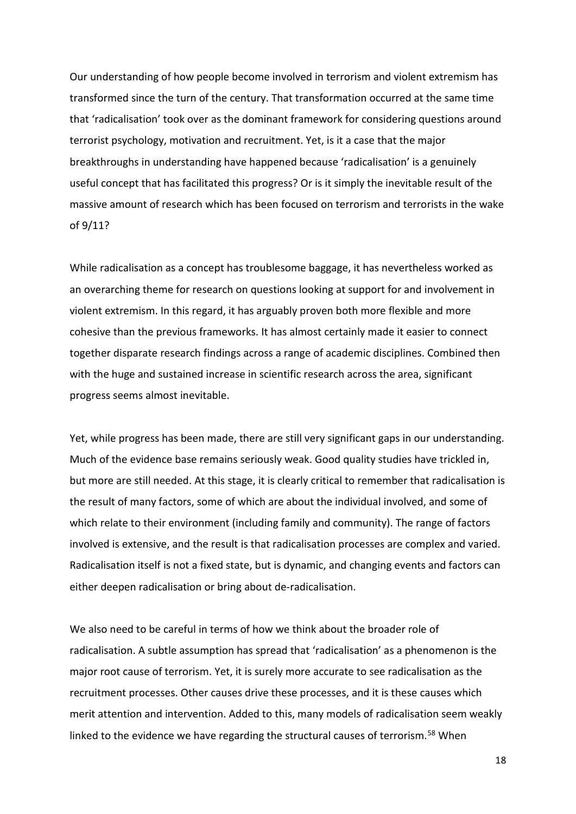Our understanding of how people become involved in terrorism and violent extremism has transformed since the turn of the century. That transformation occurred at the same time that 'radicalisation' took over as the dominant framework for considering questions around terrorist psychology, motivation and recruitment. Yet, is it a case that the major breakthroughs in understanding have happened because 'radicalisation' is a genuinely useful concept that has facilitated this progress? Or is it simply the inevitable result of the massive amount of research which has been focused on terrorism and terrorists in the wake of 9/11?

While radicalisation as a concept has troublesome baggage, it has nevertheless worked as an overarching theme for research on questions looking at support for and involvement in violent extremism. In this regard, it has arguably proven both more flexible and more cohesive than the previous frameworks. It has almost certainly made it easier to connect together disparate research findings across a range of academic disciplines. Combined then with the huge and sustained increase in scientific research across the area, significant progress seems almost inevitable.

Yet, while progress has been made, there are still very significant gaps in our understanding. Much of the evidence base remains seriously weak. Good quality studies have trickled in, but more are still needed. At this stage, it is clearly critical to remember that radicalisation is the result of many factors, some of which are about the individual involved, and some of which relate to their environment (including family and community). The range of factors involved is extensive, and the result is that radicalisation processes are complex and varied. Radicalisation itself is not a fixed state, but is dynamic, and changing events and factors can either deepen radicalisation or bring about de-radicalisation.

We also need to be careful in terms of how we think about the broader role of radicalisation. A subtle assumption has spread that 'radicalisation' as a phenomenon is the major root cause of terrorism. Yet, it is surely more accurate to see radicalisation as the recruitment processes. Other causes drive these processes, and it is these causes which merit attention and intervention. Added to this, many models of radicalisation seem weakly linked to the evidence we have regarding the structural causes of terrorism.<sup>[58](#page-20-44)</sup> When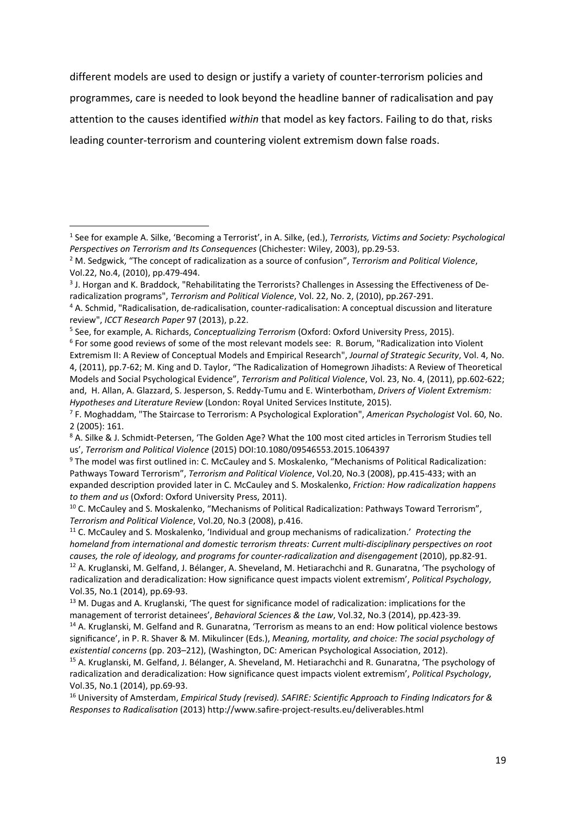different models are used to design or justify a variety of counter-terrorism policies and programmes, care is needed to look beyond the headline banner of radicalisation and pay attention to the causes identified *within* that model as key factors. Failing to do that, risks leading counter-terrorism and countering violent extremism down false roads.

 $\overline{\phantom{a}}$ 

<span id="page-18-0"></span><sup>1</sup> See for example A. Silke, 'Becoming a Terrorist', in A. Silke, (ed.), *Terrorists, Victims and Society: Psychological Perspectives on Terrorism and Its Consequences* (Chichester: Wiley, 2003), pp.29-53.

<span id="page-18-1"></span><sup>2</sup> M. Sedgwick, "The concept of radicalization as a source of confusion", *Terrorism and Political Violence*, Vol.22, No.4, (2010), pp.479-494.

<sup>&</sup>lt;sup>3</sup> J. Horgan and K. Braddock, "Rehabilitating the Terrorists? Challenges in Assessing the Effectiveness of Deradicalization programs", *Terrorism and Political Violence*, Vol. 22, No. 2, (2010), pp.267-291.

<sup>4</sup> A. Schmid, "Radicalisation, de-radicalisation, counter-radicalisation: A conceptual discussion and literature review", *ICCT Research Paper* 97 (2013), p.22.

<sup>&</sup>lt;sup>5</sup> See, for example, A. Richards, *Conceptualizing Terrorism* (Oxford: Oxford University Press, 2015).<br><sup>6</sup> For some good reviews of some of the most relevant models see: R. Borum, "Radicalization into Violent Extremism II: A Review of Conceptual Models and Empirical Research", *Journal of Strategic Security*, Vol. 4, No. 4, (2011), pp.7-62; M. King and D. Taylor, "The Radicalization of Homegrown Jihadists: A Review of Theoretical Models and Social Psychological Evidence", *Terrorism and Political Violence*, Vol. 23, No. 4, (2011), pp.602-622; and, H. Allan, A. Glazzard, S. Jesperson, S. Reddy-Tumu and E. Winterbotham, *Drivers of Violent Extremism: Hypotheses and Literature Review* (London: Royal United Services Institute, 2015).

<sup>7</sup> F. Moghaddam, "The Staircase to Terrorism: A Psychological Exploration", *American Psychologist* Vol. 60, No. 2 (2005): 161.

<sup>8</sup> A. Silke & J. Schmidt-Petersen, 'The Golden Age? What the 100 most cited articles in Terrorism Studies tell us', *Terrorism and Political Violence* (2015) DOI:10.1080/09546553.2015.1064397

<sup>9</sup> The model was first outlined in: C. McCauley and S. Moskalenko, "Mechanisms of Political Radicalization: Pathways Toward Terrorism", *Terrorism and Political Violence*, Vol.20, No.3 (2008), pp.415-433; with an expanded description provided later in C. McCauley and S. Moskalenko, *Friction: How radicalization happens to them and us* (Oxford: Oxford University Press, 2011).

<sup>&</sup>lt;sup>10</sup> C. McCauley and S. Moskalenko, "Mechanisms of Political Radicalization: Pathways Toward Terrorism", *Terrorism and Political Violence*, Vol.20, No.3 (2008), p.416.

<sup>11</sup> C. McCauley and S. Moskalenko, 'Individual and group mechanisms of radicalization.' *Protecting the homeland from international and domestic terrorism threats: Current multi-disciplinary perspectives on root causes, the role of ideology, and programs for counter-radicalization and disengagement* (2010), pp.82-91.

<sup>&</sup>lt;sup>12</sup> A. Kruglanski, M. Gelfand, J. Bélanger, A. Sheveland, M. Hetiarachchi and R. Gunaratna, 'The psychology of radicalization and deradicalization: How significance quest impacts violent extremism', *Political Psychology*, Vol.35, No.1 (2014), pp.69-93.

 $13$  M. Dugas and A. Kruglanski, 'The quest for significance model of radicalization: implications for the management of terrorist detainees', *Behavioral Sciences & the Law*, Vol.32, No.3 (2014), pp.423-39.

<sup>14</sup> A. Kruglanski, M. Gelfand and R. Gunaratna, 'Terrorism as means to an end: How political violence bestows significance', in P. R. Shaver & M. Mikulincer (Eds.), *Meaning, mortality, and choice: The social psychology of existential concerns* (pp. 203–212), (Washington, DC: American Psychological Association, 2012).

<sup>15</sup> A. Kruglanski, M. Gelfand, J. Bélanger, A. Sheveland, M. Hetiarachchi and R. Gunaratna, 'The psychology of radicalization and deradicalization: How significance quest impacts violent extremism', *Political Psychology*, Vol.35, No.1 (2014), pp.69-93.

<sup>16</sup> University of Amsterdam, *Empirical Study (revised). SAFIRE: Scientific Approach to Finding Indicators for & Responses to Radicalisation* (2013) http://www.safire-project-results.eu/deliverables.html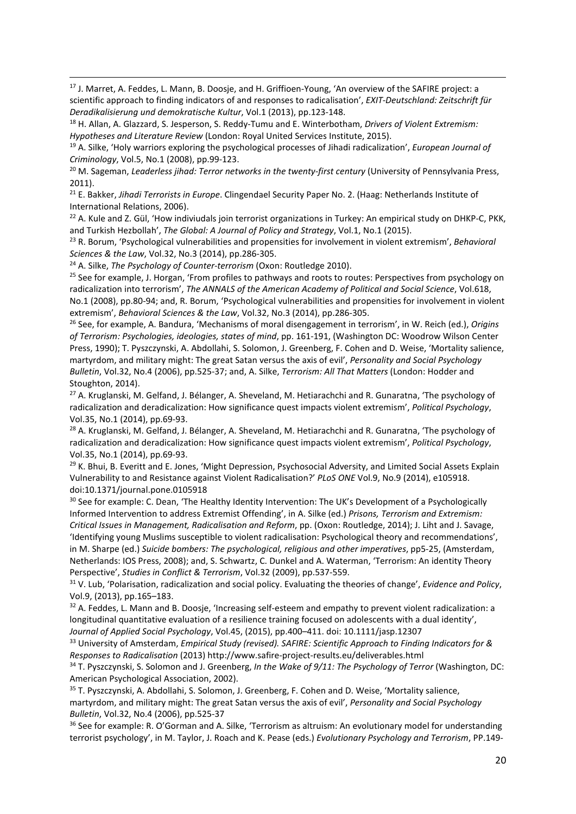<sup>17</sup> J. Marret, A. Feddes, L. Mann, B. Doosje, and H. Griffioen-Young, 'An overview of the SAFIRE project: a scientific approach to finding indicators of and responses to radicalisation', *EXIT-Deutschland: Zeitschrift für Deradikalisierung und demokratische Kultur*, Vol.1 (2013), pp.123-148.

<sup>18</sup> H. Allan, A. Glazzard, S. Jesperson, S. Reddy-Tumu and E. Winterbotham, *Drivers of Violent Extremism: Hypotheses and Literature Review* (London: Royal United Services Institute, 2015).

19 A. Silke, 'Holy warriors exploring the psychological processes of Jihadi radicalization', *European Journal of Criminology*, Vol.5, No.1 (2008), pp.99-123.

<sup>20</sup> M. Sageman, *Leaderless jihad: Terror networks in the twenty-first century* (University of Pennsylvania Press, 2011).

<sup>21</sup> E. Bakker, *Jihadi Terrorists in Europe*. Clingendael Security Paper No. 2. (Haag: Netherlands Institute of International Relations, 2006).<br><sup>22</sup> A. Kule and Z. Gül, 'How indiviudals join terrorist organizations in Turkey: An empirical study on DHKP-C, PKK,

and Turkish Hezbollah', *The Global: A Journal of Policy and Strategy*, Vol.1, No.1 (2015).<br><sup>23</sup> R. Borum, 'Psychological vulnerabilities and propensities for involvement in violent extremism', *Behavioral* 

*Sciences & the Law*, Vol.32, No.3 (2014), pp.286-305.

<sup>24</sup> A. Silke, *The Psychology of Counter-terrorism* (Oxon: Routledge 2010).

**.** 

<span id="page-19-0"></span><sup>25</sup> See for example, J. Horgan, 'From profiles to pathways and roots to routes: Perspectives from psychology on radicalization into terrorism', *The ANNALS of the American Academy of Political and Social Science*, Vol.618, No.1 (2008), pp.80-94; and, R. Borum, 'Psychological vulnerabilities and propensities for involvement in violent extremism', *Behavioral Sciences & the Law*, Vol.32, No.3 (2014), pp.286-305.

<span id="page-19-3"></span><span id="page-19-2"></span><span id="page-19-1"></span><sup>26</sup> See, for example, A. Bandura, 'Mechanisms of moral disengagement in terrorism', in W. Reich (ed.), *Origins of Terrorism: Psychologies, ideologies, states of mind*, pp. 161-191, (Washington DC: Woodrow Wilson Center Press, 1990); T. Pyszczynski, A. Abdollahi, S. Solomon, J. Greenberg, F. Cohen and D. Weise, 'Mortality salience, martyrdom, and military might: The great Satan versus the axis of evil', *Personality and Social Psychology Bulletin*, Vol.32, No.4 (2006), pp.525-37; and, A. Silke, *Terrorism: All That Matters* (London: Hodder and Stoughton, 2014).

<sup>27</sup> A. Kruglanski, M. Gelfand, J. Bélanger, A. Sheveland, M. Hetiarachchi and R. Gunaratna, 'The psychology of radicalization and deradicalization: How significance quest impacts violent extremism', *Political Psychology*, Vol.35, No.1 (2014), pp.69-93.

<sup>28</sup> A. Kruglanski, M. Gelfand, J. Bélanger, A. Sheveland, M. Hetiarachchi and R. Gunaratna, 'The psychology of radicalization and deradicalization: How significance quest impacts violent extremism', *Political Psychology*, Vol.35, No.1 (2014), pp.69-93.

<sup>29</sup> K. Bhui, B. Everitt and E. Jones, 'Might Depression, Psychosocial Adversity, and Limited Social Assets Explain Vulnerability to and Resistance against Violent Radicalisation?' *PLoS ONE* Vol.9, No.9 (2014), e105918. doi:10.1371/journal.pone.0105918

<sup>30</sup> See for example: C. Dean, 'The Healthy Identity Intervention: The UK's Development of a Psychologically Informed Intervention to address Extremist Offending', in A. Silke (ed.) *Prisons, Terrorism and Extremism: Critical Issues in Management, Radicalisation and Reform*, pp. (Oxon: Routledge, 2014); J. Liht and J. Savage, 'Identifying young Muslims susceptible to violent radicalisation: Psychological theory and recommendations', in M. Sharpe (ed.) *Suicide bombers: The psychological, religious and other imperatives*, pp5-25, (Amsterdam, Netherlands: IOS Press, 2008); and, S. Schwartz, C. Dunkel and A. Waterman, 'Terrorism: An identity Theory Perspective', *Studies in Conflict & Terrorism*, Vol.32 (2009), pp.537-559.

<sup>31</sup> V. Lub, 'Polarisation, radicalization and social policy. Evaluating the theories of change', *Evidence and Policy*, Vol.9, (2013), pp.165–183.

32 A. Feddes, L. Mann and B. Doosje, 'Increasing self-esteem and empathy to prevent violent radicalization: a longitudinal quantitative evaluation of a resilience training focused on adolescents with a dual identity', *Journal of Applied Social Psychology*, Vol.45, (2015), pp.400–411. doi: 10.1111/jasp.12307

<sup>33</sup> University of Amsterdam, *Empirical Study (revised). SAFIRE: Scientific Approach to Finding Indicators for & Responses to Radicalisation* (2013) http://www.safire-project-results.eu/deliverables.html

<sup>34</sup> T. Pyszczynski, S. Solomon and J. Greenberg, *In the Wake of 9/11: The Psychology of Terror* (Washington, DC: American Psychological Association, 2002).<br><sup>35</sup> T. Pyszczynski, A. Abdollahi, S. Solomon, J. Greenberg, F. Cohen and D. Weise, 'Mortality salience,

martyrdom, and military might: The great Satan versus the axis of evil', *Personality and Social Psychology Bulletin*, Vol.32, No.4 (2006), pp.525-37

<sup>36</sup> See for example: R. O'Gorman and A. Silke, 'Terrorism as altruism: An evolutionary model for understanding terrorist psychology', in M. Taylor, J. Roach and K. Pease (eds.) *Evolutionary Psychology and Terrorism*, PP.149